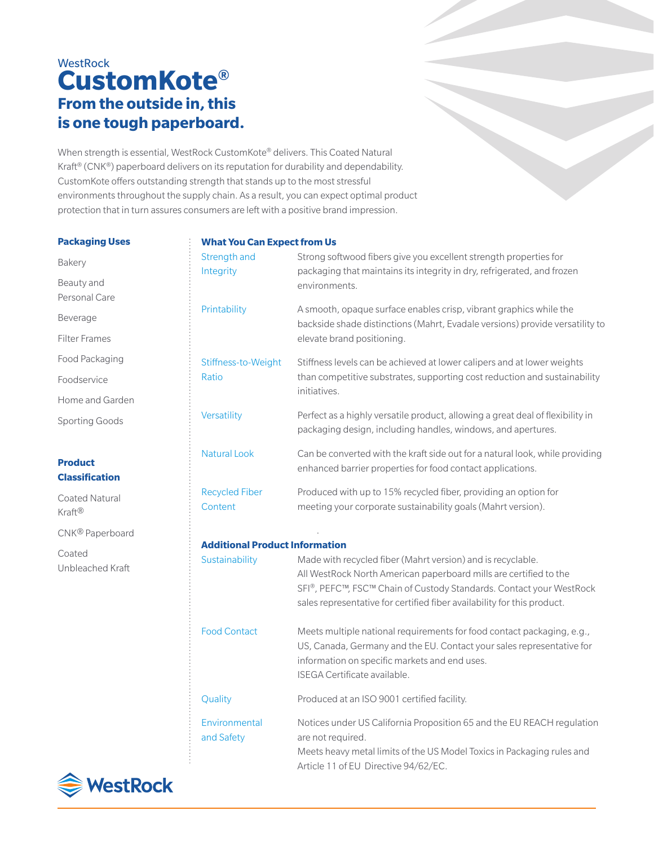# **WestRock CustomKote® From the outside in, this is one tough paperboard.**

When strength is essential, WestRock CustomKote® delivers. This Coated Natural Kraft® (CNK®) paperboard delivers on its reputation for durability and dependability. CustomKote offers outstanding strength that stands up to the most stressful environments throughout the supply chain. As a result, you can expect optimal product protection that in turn assures consumers are left with a positive brand impression.

#### **Packaging Uses**

Bakery

Beauty and Personal Care

Beverage Filter Frames

Food Packaging Foodservice

Home and Garden

CNK® Paperboard

Unbleached Kraft

Sporting Goods

**Product Classification**  Coated Natural

Kraft®

Coated

## **What You Can Expect from Us**

| WHAL TOU CAN EXPECT HOM OS            |                                                                                                                                                                                                                                                                                    |
|---------------------------------------|------------------------------------------------------------------------------------------------------------------------------------------------------------------------------------------------------------------------------------------------------------------------------------|
| Strength and<br>Integrity             | Strong softwood fibers give you excellent strength properties for<br>packaging that maintains its integrity in dry, refrigerated, and frozen<br>environments.                                                                                                                      |
| Printability                          | A smooth, opaque surface enables crisp, vibrant graphics while the<br>backside shade distinctions (Mahrt, Evadale versions) provide versatility to<br>elevate brand positioning.                                                                                                   |
| Stiffness-to-Weight<br>Ratio          | Stiffness levels can be achieved at lower calipers and at lower weights<br>than competitive substrates, supporting cost reduction and sustainability<br>initiatives.                                                                                                               |
| Versatility                           | Perfect as a highly versatile product, allowing a great deal of flexibility in<br>packaging design, including handles, windows, and apertures.                                                                                                                                     |
| <b>Natural Look</b>                   | Can be converted with the kraft side out for a natural look, while providing<br>enhanced barrier properties for food contact applications.                                                                                                                                         |
| <b>Recycled Fiber</b><br>Content      | Produced with up to 15% recycled fiber, providing an option for<br>meeting your corporate sustainability goals (Mahrt version).                                                                                                                                                    |
| <b>Additional Product Information</b> |                                                                                                                                                                                                                                                                                    |
| Sustainability                        | Made with recycled fiber (Mahrt version) and is recyclable.<br>All WestRock North American paperboard mills are certified to the<br>SFI®, PEFC™, FSC™ Chain of Custody Standards. Contact your WestRock<br>sales representative for certified fiber availability for this product. |
| <b>Food Contact</b>                   | Meets multiple national requirements for food contact packaging, e.g.,<br>US, Canada, Germany and the EU. Contact your sales representative for<br>information on specific markets and end uses.<br>ISEGA Certificate available.                                                   |
| Quality                               | Produced at an ISO 9001 certified facility.                                                                                                                                                                                                                                        |

Environmental Notices under US California Proposition 65 and the EU REACH regulation and Safety are not required. Meets heavy metal limits of the US Model Toxics in Packaging rules and

Article 11 of EU Directive 94/62/EC.